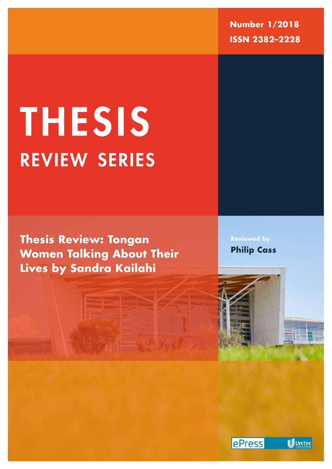**Number 1/2018 ISSN 2382–2228**

# review series THESIS

**Thesis Review: Tongan Women Talking About Their Lives by Sandra Kailahi**

**Reviewed by Philip Cass**

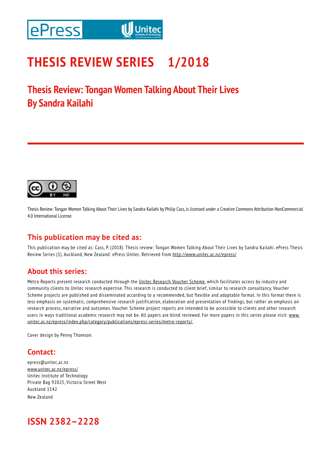### **THESIS REVIEW SERIES 1/2018**

**Thesis Review: Tongan Women Talking About Their Lives By Sandra Kailahi**



Thesis Review: Tongan Women Talking About Their Lives by Sandra Kailahi by Philip Cass, is licensed under a Creative Commons Attribution-NonCommercial 4.0 International License.

### **This publication may be cited as:**

This publication may be cited as: Cass, P. (2018). Thesis review: Tongan Women Talking About Their Lives by Sandra Kailahi. ePress Thesis Review Series (1). Auckland, New Zealand: ePress Unitec. Retrieved from http://www.unitec.ac.nz/epress/

### **About this series:**

Metro Reports present research conducted through the Unitec Research Voucher Scheme, which facilitates access by industry and community clients to Unitec research expertise. This research is conducted to client brief, similar to research consultancy. Voucher Scheme projects are published and disseminated according to a recommended, but flexible and adaptable format. In this format there is less emphasis on systematic, comprehensive research justification, elaboration and presentation of findings, but rather an emphasis on research process, narrative and outcomes. Voucher Scheme project reports are intended to be accessible to clients and other research users in ways traditional academic research may not be. All papers are blind reviewed. For more papers in this series please visit: www. unitec.ac.nz/epress/index.php/category/publications/epress-series/metro-reports/.

Cover design by Penny Thomson.

### **Contact:**

epress@unitec.ac.nz www.unitec.ac.nz/epress/ Unitec Institute of Technology Private Bag 92025, Victoria Street West Auckland 1142 New Zealand

### **ISSN 2382–2228**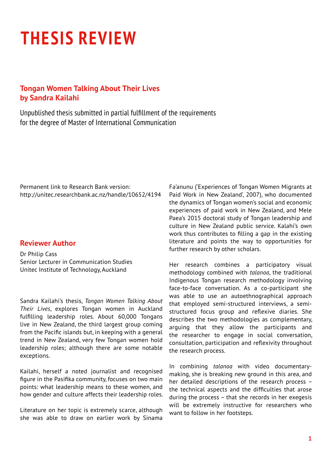## **THESIS REVIEW**

### **Tongan Women Talking About Their Lives by Sandra Kailahi**

Unpublished thesis submitted in partial fulfillment of the requirements for the degree of Master of International Communication

Permanent link to Research Bank version: http://unitec.researchbank.ac.nz/handle/10652/4194

#### **Reviewer Author**

Dr Philip Cass Senior Lecturer in Communication Studies Unitec Institute of Technology, Auckland

Sandra Kailahi's thesis, *Tongan Women Talking About Their Lives*, explores Tongan women in Auckland fulfilling leadership roles. About 60,000 Tongans live in New Zealand, the third largest group coming from the Pacific islands but, in keeping with a general trend in New Zealand, very few Tongan women hold leadership roles; although there are some notable exceptions.

Kailahi, herself a noted journalist and recognised figure in the Pasifika community, focuses on two main points: what leadership means to these women, and how gender and culture affects their leadership roles.

Literature on her topic is extremely scarce, although she was able to draw on earlier work by Sinama Fa'anunu ('Experiences of Tongan Women Migrants at Paid Work in New Zealand', 2007), who documented the dynamics of Tongan women's social and economic experiences of paid work in New Zealand, and Mele Paea's 2015 doctoral study of Tongan leadership and culture in New Zealand public service. Kalahi's own work thus contributes to filling a gap in the existing literature and points the way to opportunities for further research by other scholars.

Her research combines a participatory visual methodology combined with *talanoa*, the traditional Indigenous Tongan research methodology involving face-to-face conversation. As a co-participant she was able to use an autoethnographical approach that employed semi-structured interviews, a semistructured focus group and reflexive diaries. She describes the two methodologies as complementary, arguing that they allow the participants and the researcher to engage in social conversation, consultation, participation and reflexivity throughout the research process.

In combining *talanoa* with video documentarymaking, she is breaking new ground in this area, and her detailed descriptions of the research process – the technical aspects and the difficulties that arose during the process – that she records in her exegesis will be extremely instructive for researchers who want to follow in her footsteps.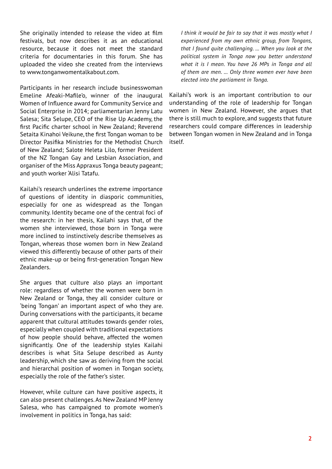She originally intended to release the video at film festivals, but now describes it as an educational resource, because it does not meet the standard criteria for documentaries in this forum. She has uploaded the video she created from the interviews to www.tonganwomentalkabout.com.

Participants in her research include businesswoman Emeline Afeaki-Mafile'o, winner of the inaugural Women of Influence award for Community Service and Social Enterprise in 2014; parliamentarian Jenny Latu Salesa; Sita Selupe, CEO of the Rise Up Academy, the first Pacific charter school in New Zealand; Reverend Setaita Kinahoi Veikune, the first Tongan woman to be Director Pasifika Ministries for the Methodist Church of New Zealand; Salote Heleta Lilo, former President of the NZ Tongan Gay and Lesbian Association, and organiser of the Miss Appraxus Tonga beauty pageant; and youth worker 'Alisi Tatafu.

Kailahi's research underlines the extreme importance of questions of identity in diasporic communities, especially for one as widespread as the Tongan community. Identity became one of the central foci of the research: in her thesis, Kailahi says that, of the women she interviewed, those born in Tonga were more inclined to instinctively describe themselves as Tongan, whereas those women born in New Zealand viewed this differently because of other parts of their ethnic make-up or being first-generation Tongan New Zealanders.

She argues that culture also plays an important role: regardless of whether the women were born in New Zealand or Tonga, they all consider culture or 'being Tongan' an important aspect of who they are. During conversations with the participants, it became apparent that cultural attitudes towards gender roles, especially when coupled with traditional expectations of how people should behave, affected the women significantly. One of the leadership styles Kailahi describes is what Sita Selupe described as Aunty leadership, which she saw as deriving from the social and hierarchal position of women in Tongan society, especially the role of the father's sister.

However, while culture can have positive aspects, it can also present challenges. As New Zealand MP Jenny Salesa, who has campaigned to promote women's involvement in politics in Tonga, has said:

*I think it would be fair to say that it was mostly what I experienced from my own ethnic group, from Tongans, that I found quite challenging. … When you look at the political system in Tonga now you better understand what it is I mean. You have 26 MPs in Tonga and all of them are men. … Only three women ever have been elected into the parliament in Tonga.*

Kailahi's work is an important contribution to our understanding of the role of leadership for Tongan women in New Zealand. However, she argues that there is still much to explore, and suggests that future researchers could compare differences in leadership between Tongan women in New Zealand and in Tonga itself.